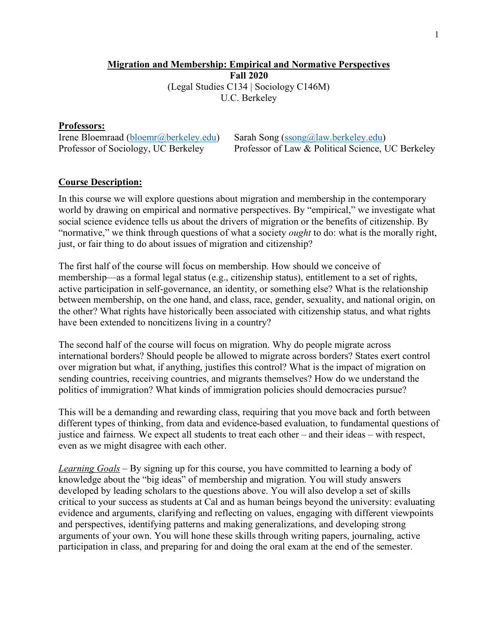# **Migration and Membership: Empirical and Normative Perspectives Fall 2020** (Legal Studies C134 | Sociology C146M) U.C. Berkeley

### **Professors:**

Irene Bloemraad (bloemr@berkeley.edu) Sarah Song (ssong@law.berkeley.edu)

Professor of Sociology, UC Berkeley Professor of Law & Political Science, UC Berkeley

## **Course Description:**

In this course we will explore questions about migration and membership in the contemporary world by drawing on empirical and normative perspectives. By "empirical," we investigate what social science evidence tells us about the drivers of migration or the benefits of citizenship. By "normative," we think through questions of what a society *ought* to do: what is the morally right, just, or fair thing to do about issues of migration and citizenship?

The first half of the course will focus on membership. How should we conceive of membership—as a formal legal status (e.g., citizenship status), entitlement to a set of rights, active participation in self-governance, an identity, or something else? What is the relationship between membership, on the one hand, and class, race, gender, sexuality, and national origin, on the other? What rights have historically been associated with citizenship status, and what rights have been extended to noncitizens living in a country?

The second half of the course will focus on migration. Why do people migrate across international borders? Should people be allowed to migrate across borders? States exert control over migration but what, if anything, justifies this control? What is the impact of migration on sending countries, receiving countries, and migrants themselves? How do we understand the politics of immigration? What kinds of immigration policies should democracies pursue?

This will be a demanding and rewarding class, requiring that you move back and forth between different types of thinking, from data and evidence-based evaluation, to fundamental questions of justice and fairness. We expect all students to treat each other – and their ideas – with respect, even as we might disagree with each other.

*Learning Goals* – By signing up for this course, you have committed to learning a body of knowledge about the "big ideas" of membership and migration. You will study answers developed by leading scholars to the questions above. You will also develop a set of skills critical to your success as students at Cal and as human beings beyond the university: evaluating evidence and arguments, clarifying and reflecting on values, engaging with different viewpoints and perspectives, identifying patterns and making generalizations, and developing strong arguments of your own. You will hone these skills through writing papers, journaling, active participation in class, and preparing for and doing the oral exam at the end of the semester.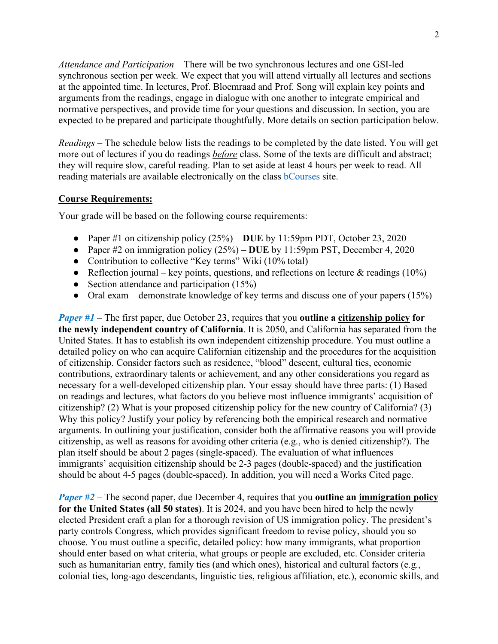*Attendance and Participation –* There will be two synchronous lectures and one GSI-led synchronous section per week. We expect that you will attend virtually all lectures and sections at the appointed time. In lectures, Prof. Bloemraad and Prof. Song will explain key points and arguments from the readings, engage in dialogue with one another to integrate empirical and normative perspectives, and provide time for your questions and discussion. In section, you are expected to be prepared and participate thoughtfully. More details on section participation below.

*Readings –* The schedule below lists the readings to be completed by the date listed. You will get more out of lectures if you do readings *before* class. Some of the texts are difficult and abstract; they will require slow, careful reading. Plan to set aside at least 4 hours per week to read. All reading materials are available electronically on the class **bCourses** site.

## **Course Requirements:**

Your grade will be based on the following course requirements:

- Paper #1 on citizenship policy (25%) **DUE** by 11:59pm PDT, October 23, 2020
- Paper #2 on immigration policy (25%) **DUE** by 11:59pm PST, December 4, 2020
- Contribution to collective "Key terms" Wiki (10% total)
- Reflection journal key points, questions, and reflections on lecture  $\&$  readings (10%)
- Section attendance and participation  $(15%)$
- Oral exam demonstrate knowledge of key terms and discuss one of your papers (15%)

*Paper #1* – The first paper, due October 23, requires that you **outline a citizenship policy for the newly independent country of California**. It is 2050, and California has separated from the United States. It has to establish its own independent citizenship procedure. You must outline a detailed policy on who can acquire Californian citizenship and the procedures for the acquisition of citizenship. Consider factors such as residence, "blood" descent, cultural ties, economic contributions, extraordinary talents or achievement, and any other considerations you regard as necessary for a well-developed citizenship plan. Your essay should have three parts: (1) Based on readings and lectures, what factors do you believe most influence immigrants' acquisition of citizenship? (2) What is your proposed citizenship policy for the new country of California? (3) Why this policy? Justify your policy by referencing both the empirical research and normative arguments. In outlining your justification, consider both the affirmative reasons you will provide citizenship, as well as reasons for avoiding other criteria (e.g., who is denied citizenship?). The plan itself should be about 2 pages (single-spaced). The evaluation of what influences immigrants' acquisition citizenship should be 2-3 pages (double-spaced) and the justification should be about 4-5 pages (double-spaced). In addition, you will need a Works Cited page.

*Paper #2* – The second paper, due December 4, requires that you **outline an immigration policy for the United States (all 50 states)**. It is 2024, and you have been hired to help the newly elected President craft a plan for a thorough revision of US immigration policy. The president's party controls Congress, which provides significant freedom to revise policy, should you so choose. You must outline a specific, detailed policy: how many immigrants, what proportion should enter based on what criteria, what groups or people are excluded, etc. Consider criteria such as humanitarian entry, family ties (and which ones), historical and cultural factors (e.g., colonial ties, long-ago descendants, linguistic ties, religious affiliation, etc.), economic skills, and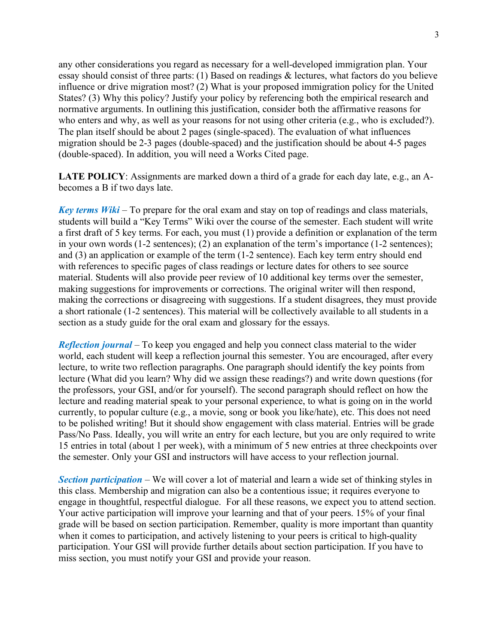any other considerations you regard as necessary for a well-developed immigration plan. Your essay should consist of three parts: (1) Based on readings & lectures, what factors do you believe influence or drive migration most? (2) What is your proposed immigration policy for the United States? (3) Why this policy? Justify your policy by referencing both the empirical research and normative arguments. In outlining this justification, consider both the affirmative reasons for who enters and why, as well as your reasons for not using other criteria (e.g., who is excluded?). The plan itself should be about 2 pages (single-spaced). The evaluation of what influences migration should be 2-3 pages (double-spaced) and the justification should be about 4-5 pages (double-spaced). In addition, you will need a Works Cited page.

**LATE POLICY**: Assignments are marked down a third of a grade for each day late, e.g., an Abecomes a B if two days late.

*Key terms Wiki* – To prepare for the oral exam and stay on top of readings and class materials, students will build a "Key Terms" Wiki over the course of the semester. Each student will write a first draft of 5 key terms. For each, you must (1) provide a definition or explanation of the term in your own words (1-2 sentences); (2) an explanation of the term's importance (1-2 sentences); and (3) an application or example of the term (1-2 sentence). Each key term entry should end with references to specific pages of class readings or lecture dates for others to see source material. Students will also provide peer review of 10 additional key terms over the semester, making suggestions for improvements or corrections. The original writer will then respond, making the corrections or disagreeing with suggestions. If a student disagrees, they must provide a short rationale (1-2 sentences). This material will be collectively available to all students in a section as a study guide for the oral exam and glossary for the essays.

*Reflection journal* – To keep you engaged and help you connect class material to the wider world, each student will keep a reflection journal this semester. You are encouraged, after every lecture, to write two reflection paragraphs. One paragraph should identify the key points from lecture (What did you learn? Why did we assign these readings?) and write down questions (for the professors, your GSI, and/or for yourself). The second paragraph should reflect on how the lecture and reading material speak to your personal experience, to what is going on in the world currently, to popular culture (e.g., a movie, song or book you like/hate), etc. This does not need to be polished writing! But it should show engagement with class material. Entries will be grade Pass/No Pass. Ideally, you will write an entry for each lecture, but you are only required to write 15 entries in total (about 1 per week), with a minimum of 5 new entries at three checkpoints over the semester. Only your GSI and instructors will have access to your reflection journal.

*Section participation* – We will cover a lot of material and learn a wide set of thinking styles in this class. Membership and migration can also be a contentious issue; it requires everyone to engage in thoughtful, respectful dialogue. For all these reasons, we expect you to attend section. Your active participation will improve your learning and that of your peers. 15% of your final grade will be based on section participation. Remember, quality is more important than quantity when it comes to participation, and actively listening to your peers is critical to high-quality participation. Your GSI will provide further details about section participation. If you have to miss section, you must notify your GSI and provide your reason.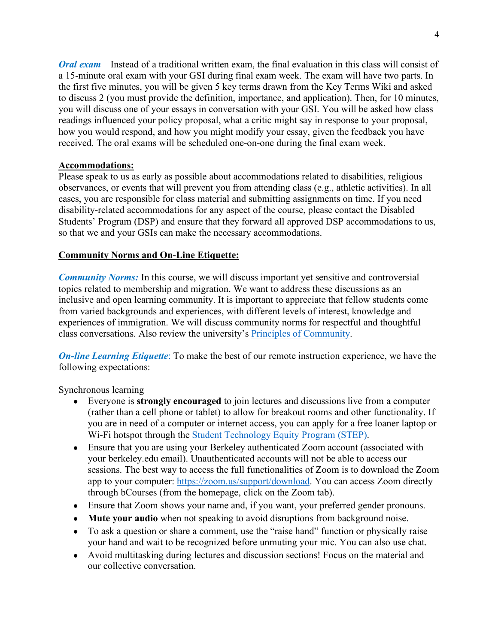*Oral exam* – Instead of a traditional written exam, the final evaluation in this class will consist of a 15-minute oral exam with your GSI during final exam week. The exam will have two parts. In the first five minutes, you will be given 5 key terms drawn from the Key Terms Wiki and asked to discuss 2 (you must provide the definition, importance, and application). Then, for 10 minutes, you will discuss one of your essays in conversation with your GSI. You will be asked how class readings influenced your policy proposal, what a critic might say in response to your proposal, how you would respond, and how you might modify your essay, given the feedback you have received. The oral exams will be scheduled one-on-one during the final exam week.

# **Accommodations:**

Please speak to us as early as possible about accommodations related to disabilities, religious observances, or events that will prevent you from attending class (e.g., athletic activities). In all cases, you are responsible for class material and submitting assignments on time. If you need disability-related accommodations for any aspect of the course, please contact the Disabled Students' Program (DSP) and ensure that they forward all approved DSP accommodations to us, so that we and your GSIs can make the necessary accommodations.

# **Community Norms and On-Line Etiquette:**

*Community Norms:* In this course, we will discuss important yet sensitive and controversial topics related to membership and migration. We want to address these discussions as an inclusive and open learning community. It is important to appreciate that fellow students come from varied backgrounds and experiences, with different levels of interest, knowledge and experiences of immigration. We will discuss community norms for respectful and thoughtful class conversations. Also review the university's Principles of Community.

*On-line Learning Etiquette*: To make the best of our remote instruction experience, we have the following expectations:

## Synchronous learning

- Everyone is **strongly encouraged** to join lectures and discussions live from a computer (rather than a cell phone or tablet) to allow for breakout rooms and other functionality. If you are in need of a computer or internet access, you can apply for a free loaner laptop or Wi-Fi hotspot through the Student Technology Equity Program (STEP).
- Ensure that you are using your Berkeley authenticated Zoom account (associated with your berkeley.edu email). Unauthenticated accounts will not be able to access our sessions. The best way to access the full functionalities of Zoom is to download the Zoom app to your computer: https://zoom.us/support/download. You can access Zoom directly through bCourses (from the homepage, click on the Zoom tab).
- Ensure that Zoom shows your name and, if you want, your preferred gender pronouns.
- **Mute your audio** when not speaking to avoid disruptions from background noise.
- To ask a question or share a comment, use the "raise hand" function or physically raise your hand and wait to be recognized before unmuting your mic. You can also use chat.
- Avoid multitasking during lectures and discussion sections! Focus on the material and our collective conversation.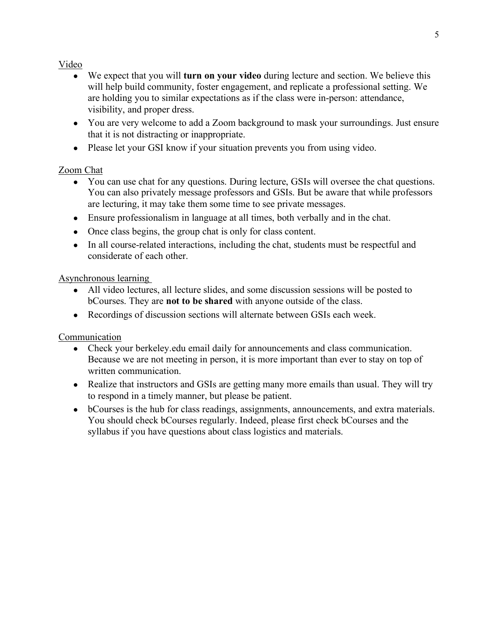# Video

- We expect that you will **turn on your video** during lecture and section. We believe this will help build community, foster engagement, and replicate a professional setting. We are holding you to similar expectations as if the class were in-person: attendance, visibility, and proper dress.
- You are very welcome to add a Zoom background to mask your surroundings. Just ensure that it is not distracting or inappropriate.
- Please let your GSI know if your situation prevents you from using video.

# Zoom Chat

- You can use chat for any questions. During lecture, GSIs will oversee the chat questions. You can also privately message professors and GSIs. But be aware that while professors are lecturing, it may take them some time to see private messages.
- Ensure professionalism in language at all times, both verbally and in the chat.
- Once class begins, the group chat is only for class content.
- In all course-related interactions, including the chat, students must be respectful and considerate of each other.

# Asynchronous learning

- All video lectures, all lecture slides, and some discussion sessions will be posted to bCourses. They are **not to be shared** with anyone outside of the class.
- Recordings of discussion sections will alternate between GSIs each week.

# **Communication**

- Check your berkeley.edu email daily for announcements and class communication. Because we are not meeting in person, it is more important than ever to stay on top of written communication.
- Realize that instructors and GSIs are getting many more emails than usual. They will try to respond in a timely manner, but please be patient.
- bCourses is the hub for class readings, assignments, announcements, and extra materials. You should check bCourses regularly. Indeed, please first check bCourses and the syllabus if you have questions about class logistics and materials.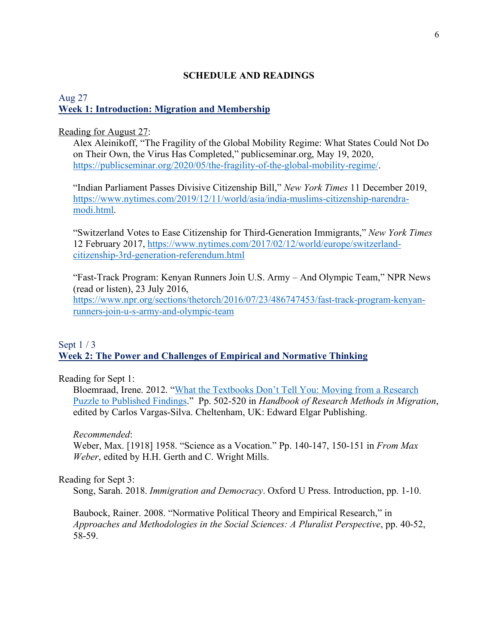## **SCHEDULE AND READINGS**

### Aug 27 **Week 1: Introduction: Migration and Membership**

### Reading for August 27:

Alex Aleinikoff, "The Fragility of the Global Mobility Regime: What States Could Not Do on Their Own, the Virus Has Completed," publicseminar.org, May 19, 2020, https://publicseminar.org/2020/05/the-fragility-of-the-global-mobility-regime/.

"Indian Parliament Passes Divisive Citizenship Bill," *New York Times* 11 December 2019, https://www.nytimes.com/2019/12/11/world/asia/india-muslims-citizenship-narendramodi.html.

"Switzerland Votes to Ease Citizenship for Third-Generation Immigrants," *New York Times* 12 February 2017, https://www.nytimes.com/2017/02/12/world/europe/switzerlandcitizenship-3rd-generation-referendum.html

"Fast-Track Program: Kenyan Runners Join U.S. Army – And Olympic Team," NPR News (read or listen), 23 July 2016,

https://www.npr.org/sections/thetorch/2016/07/23/486747453/fast-track-program-kenyanrunners-join-u-s-army-and-olympic-team

## Sept 1 / 3 **Week 2: The Power and Challenges of Empirical and Normative Thinking**

Reading for Sept 1:

Bloemraad, Irene. 2012. "What the Textbooks Don't Tell You: Moving from a Research Puzzle to Published Findings." Pp. 502-520 in *Handbook of Research Methods in Migration*, edited by Carlos Vargas-Silva. Cheltenham, UK: Edward Elgar Publishing.

*Recommended*:

Weber, Max. [1918] 1958. "Science as a Vocation." Pp. 140-147, 150-151 in *From Max Weber*, edited by H.H. Gerth and C. Wright Mills.

### Reading for Sept 3:

Song, Sarah. 2018. *Immigration and Democracy*. Oxford U Press. Introduction, pp. 1-10.

Baubock, Rainer. 2008. "Normative Political Theory and Empirical Research," in *Approaches and Methodologies in the Social Sciences: A Pluralist Perspective*, pp. 40-52, 58-59.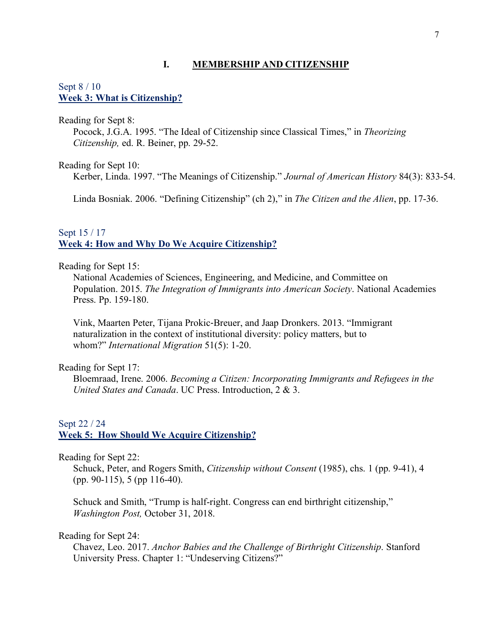### **I. MEMBERSHIP AND CITIZENSHIP**

### Sept 8 / 10 **Week 3: What is Citizenship?**

Reading for Sept 8:

Pocock, J.G.A. 1995. "The Ideal of Citizenship since Classical Times," in *Theorizing Citizenship,* ed. R. Beiner, pp. 29-52.

Reading for Sept 10:

Kerber, Linda. 1997. "The Meanings of Citizenship." *Journal of American History* 84(3): 833-54.

Linda Bosniak. 2006. "Defining Citizenship" (ch 2)," in *The Citizen and the Alien*, pp. 17-36.

## Sept 15 / 17 **Week 4: How and Why Do We Acquire Citizenship?**

Reading for Sept 15:

National Academies of Sciences, Engineering, and Medicine, and Committee on Population. 2015. *The Integration of Immigrants into American Society*. National Academies Press. Pp. 159-180.

Vink, Maarten Peter, Tijana Prokic-Breuer, and Jaap Dronkers. 2013. "Immigrant naturalization in the context of institutional diversity: policy matters, but to whom?" *International Migration* 51(5): 1-20.

Reading for Sept 17:

Bloemraad, Irene. 2006. *Becoming a Citizen: Incorporating Immigrants and Refugees in the United States and Canada*. UC Press. Introduction, 2 & 3.

### Sept 22 / 24 **Week 5: How Should We Acquire Citizenship?**

Reading for Sept 22:

Schuck, Peter, and Rogers Smith, *Citizenship without Consent* (1985), chs. 1 (pp. 9-41), 4 (pp. 90-115), 5 (pp 116-40).

Schuck and Smith, "Trump is half-right. Congress can end birthright citizenship," *Washington Post,* October 31, 2018.

Reading for Sept 24:

Chavez, Leo. 2017. *Anchor Babies and the Challenge of Birthright Citizenship*. Stanford University Press. Chapter 1: "Undeserving Citizens?"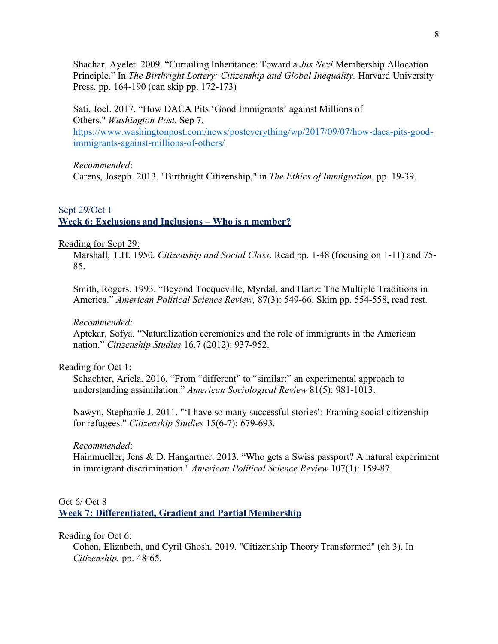Shachar, Ayelet. 2009. "Curtailing Inheritance: Toward a *Jus Nexi* Membership Allocation Principle." In *The Birthright Lottery: Citizenship and Global Inequality.* Harvard University Press. pp. 164-190 (can skip pp. 172-173)

Sati, Joel. 2017. "How DACA Pits 'Good Immigrants' against Millions of Others." *Washington Post.* Sep 7. https://www.washingtonpost.com/news/posteverything/wp/2017/09/07/how-daca-pits-goodimmigrants-against-millions-of-others/

#### *Recommended*:

Carens, Joseph. 2013. "Birthright Citizenship," in *The Ethics of Immigration.* pp. 19-39.

## Sept 29/Oct 1 **Week 6: Exclusions and Inclusions – Who is a member?**

#### Reading for Sept 29:

Marshall, T.H. 1950. *Citizenship and Social Class*. Read pp. 1-48 (focusing on 1-11) and 75- 85.

Smith, Rogers. 1993. "Beyond Tocqueville, Myrdal, and Hartz: The Multiple Traditions in America." *American Political Science Review,* 87(3): 549-66. Skim pp. 554-558, read rest.

#### *Recommended*:

Aptekar, Sofya. "Naturalization ceremonies and the role of immigrants in the American nation." *Citizenship Studies* 16.7 (2012): 937-952.

### Reading for Oct 1:

Schachter, Ariela. 2016. "From "different" to "similar:" an experimental approach to understanding assimilation." *American Sociological Review* 81(5): 981-1013.

Nawyn, Stephanie J. 2011. "'I have so many successful stories': Framing social citizenship for refugees." *Citizenship Studies* 15(6-7): 679-693.

#### *Recommended*:

Hainmueller, Jens & D. Hangartner. 2013. "Who gets a Swiss passport? A natural experiment in immigrant discrimination." *American Political Science Review* 107(1): 159-87.

## Oct 6/ Oct 8

**Week 7: Differentiated, Gradient and Partial Membership**

#### Reading for Oct 6:

Cohen, Elizabeth, and Cyril Ghosh. 2019. "Citizenship Theory Transformed" (ch 3). In *Citizenship.* pp. 48-65.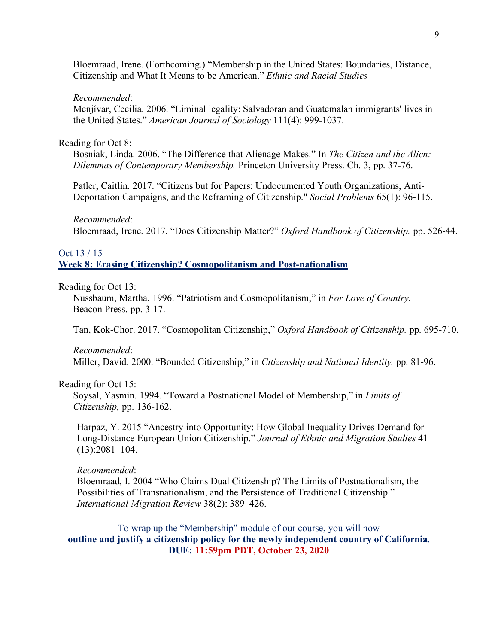Bloemraad, Irene. (Forthcoming.) "Membership in the United States: Boundaries, Distance, Citizenship and What It Means to be American." *Ethnic and Racial Studies*

#### *Recommended*:

Menjívar, Cecilia. 2006. "Liminal legality: Salvadoran and Guatemalan immigrants' lives in the United States." *American Journal of Sociology* 111(4): 999-1037.

### Reading for Oct 8:

Bosniak, Linda. 2006. "The Difference that Alienage Makes." In *The Citizen and the Alien: Dilemmas of Contemporary Membership.* Princeton University Press. Ch. 3, pp. 37-76.

Patler, Caitlin. 2017. "Citizens but for Papers: Undocumented Youth Organizations, Anti-Deportation Campaigns, and the Reframing of Citizenship." *Social Problems* 65(1): 96-115.

#### *Recommended*:

Bloemraad, Irene. 2017. "Does Citizenship Matter?" *Oxford Handbook of Citizenship.* pp. 526-44.

## Oct 13 / 15 **Week 8: Erasing Citizenship? Cosmopolitanism and Post-nationalism**

#### Reading for Oct 13:

Nussbaum, Martha. 1996. "Patriotism and Cosmopolitanism," in *For Love of Country.*  Beacon Press. pp. 3-17.

Tan, Kok-Chor. 2017. "Cosmopolitan Citizenship," *Oxford Handbook of Citizenship.* pp. 695-710.

### *Recommended*:

Miller, David. 2000. "Bounded Citizenship," in *Citizenship and National Identity.* pp. 81-96.

### Reading for Oct 15:

Soysal, Yasmin. 1994. "Toward a Postnational Model of Membership," in *Limits of Citizenship,* pp. 136-162.

Harpaz, Y. 2015 "Ancestry into Opportunity: How Global Inequality Drives Demand for Long-Distance European Union Citizenship." *Journal of Ethnic and Migration Studies* 41 (13):2081–104.

#### *Recommended*:

Bloemraad, I. 2004 "Who Claims Dual Citizenship? The Limits of Postnationalism, the Possibilities of Transnationalism, and the Persistence of Traditional Citizenship." *International Migration Review* 38(2): 389–426.

To wrap up the "Membership" module of our course, you will now **outline and justify a citizenship policy for the newly independent country of California. DUE: 11:59pm PDT, October 23, 2020**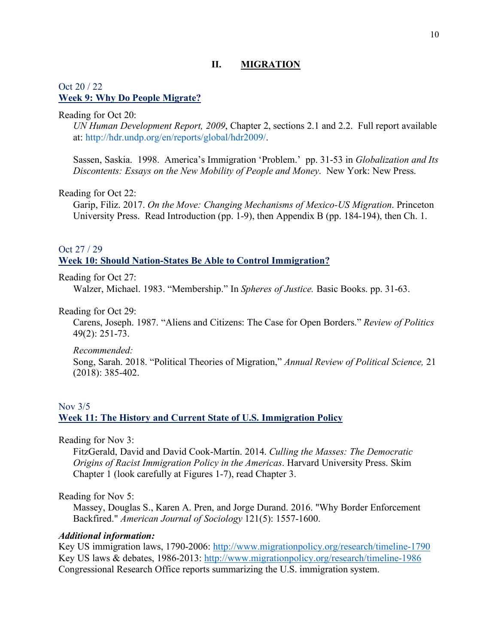## **II. MIGRATION**

## Oct 20 / 22 **Week 9: Why Do People Migrate?**

#### Reading for Oct 20:

*UN Human Development Report, 2009*, Chapter 2, sections 2.1 and 2.2. Full report available at: http://hdr.undp.org/en/reports/global/hdr2009/.

Sassen, Saskia. 1998. America's Immigration 'Problem.' pp. 31-53 in *Globalization and Its Discontents: Essays on the New Mobility of People and Money*. New York: New Press.

### Reading for Oct 22:

Garip, Filiz. 2017. *On the Move: Changing Mechanisms of Mexico-US Migration*. Princeton University Press. Read Introduction (pp. 1-9), then Appendix B (pp. 184-194), then Ch. 1.

## Oct 27 / 29

### **Week 10: Should Nation-States Be Able to Control Immigration?**

Reading for Oct 27:

Walzer, Michael. 1983. "Membership." In *Spheres of Justice.* Basic Books. pp. 31-63.

Reading for Oct 29:

Carens, Joseph. 1987. "Aliens and Citizens: The Case for Open Borders." *Review of Politics* 49(2): 251-73.

*Recommended:*

Song, Sarah. 2018. "Political Theories of Migration," *Annual Review of Political Science,* 21 (2018): 385-402.

# Nov 3/5 **Week 11: The History and Current State of U.S. Immigration Policy**

Reading for Nov 3:

FitzGerald, David and David Cook-Martín. 2014. *Culling the Masses: The Democratic Origins of Racist Immigration Policy in the Americas*. Harvard University Press. Skim Chapter 1 (look carefully at Figures 1-7), read Chapter 3.

Reading for Nov 5:

Massey, Douglas S., Karen A. Pren, and Jorge Durand. 2016. "Why Border Enforcement Backfired." *American Journal of Sociology* 121(5): 1557-1600.

### *Additional information:*

Key US immigration laws, 1790-2006: http://www.migrationpolicy.org/research/timeline-1790 Key US laws & debates, 1986-2013: http://www.migrationpolicy.org/research/timeline-1986 Congressional Research Office reports summarizing the U.S. immigration system.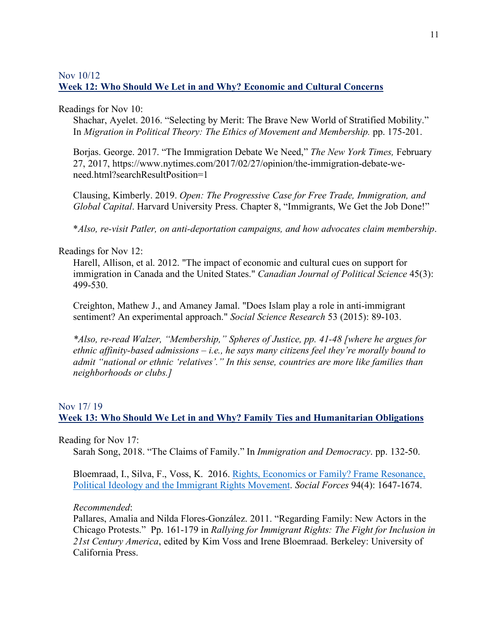## Nov 10/12 **Week 12: Who Should We Let in and Why? Economic and Cultural Concerns**

## Readings for Nov 10:

Shachar, Ayelet. 2016. "Selecting by Merit: The Brave New World of Stratified Mobility." In *Migration in Political Theory: The Ethics of Movement and Membership.* pp. 175-201.

Borjas. George. 2017. "The Immigration Debate We Need," *The New York Times,* February 27, 2017, https://www.nytimes.com/2017/02/27/opinion/the-immigration-debate-weneed.html?searchResultPosition=1

Clausing, Kimberly. 2019. *Open: The Progressive Case for Free Trade, Immigration, and Global Capital*. Harvard University Press. Chapter 8, "Immigrants, We Get the Job Done!"

\**Also, re-visit Patler, on anti-deportation campaigns, and how advocates claim membership*.

## Readings for Nov 12:

Harell, Allison, et al. 2012. "The impact of economic and cultural cues on support for immigration in Canada and the United States." *Canadian Journal of Political Science* 45(3): 499-530.

Creighton, Mathew J., and Amaney Jamal. "Does Islam play a role in anti-immigrant sentiment? An experimental approach." *Social Science Research* 53 (2015): 89-103.

*\*Also, re-read Walzer, "Membership," Spheres of Justice, pp. 41-48 [where he argues for ethnic affinity-based admissions – i.e., he says many citizens feel they're morally bound to admit "national or ethnic 'relatives'." In this sense, countries are more like families than neighborhoods or clubs.]*

# Nov 17/ 19 **Week 13: Who Should We Let in and Why? Family Ties and Humanitarian Obligations**

Reading for Nov 17:

Sarah Song, 2018. "The Claims of Family." In *Immigration and Democracy*. pp. 132-50.

Bloemraad, I., Silva, F., Voss, K. 2016. Rights, Economics or Family? Frame Resonance, Political Ideology and the Immigrant Rights Movement. *Social Forces* 94(4): 1647-1674.

## *Recommended*:

Pallares, Amalia and Nilda Flores-González. 2011. "Regarding Family: New Actors in the Chicago Protests." Pp. 161-179 in *Rallying for Immigrant Rights: The Fight for Inclusion in 21st Century America*, edited by Kim Voss and Irene Bloemraad. Berkeley: University of California Press.